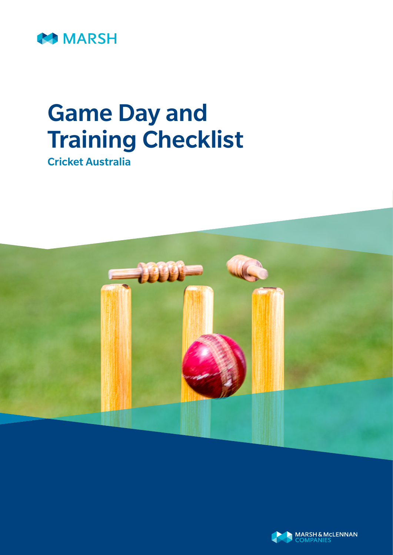

# Game Day and Training Checklist

Cricket Australia



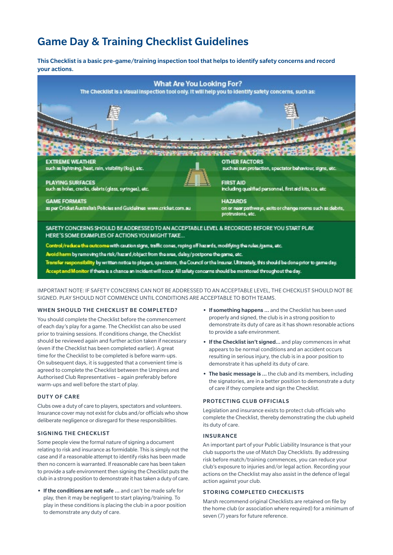# Game Day & Training Checklist Guidelines

This Checklist is a basic pre-game/training inspection tool that helps to identify safety concerns and record your actions.



Accept and Monitor if there is a chance an incident will occur. All safety concerns should be monitored throughout the day.

IMPORTANT NOTE: IF SAFETY CONCERNS CAN NOT BE ADDRESSED TO AN ACCEPTABLE LEVEL, THE CHECKLIST SHOULD NOT BE SIGNED. PLAY SHOULD NOT COMMENCE UNTIL CONDITIONS ARE ACCEPTABLE TO BOTH TEAMS.

#### WHEN SHOULD THE CHECKLIST BE COMPLETED?

You should complete the Checklist before the commencement of each day's play for a game. The Checklist can also be used prior to training sessions. If conditions change, the Checklist should be reviewed again and further action taken if necessary (even if the Checklist has been completed earlier). A great time for the Checklist to be completed is before warm-ups. On subsequent days, it is suggested that a convenient time is agreed to complete the Checklist between the Umpires and Authorised Club Representatives – again preferably before warm-ups and well before the start of play.

#### DUTY OF CARE

Clubs owe a duty of care to players, spectators and volunteers. Insurance cover may not exist for clubs and/or officials who show deliberate negligence or disregard for these responsibilities.

#### SIGNING THE CHECKLIST

Some people view the formal nature of signing a document relating to risk and insurance as formidable. This is simply not the case and if a reasonable attempt to identify risks has been made then no concern is warranted. If reasonable care has been taken to provide a safe environment then signing the Checklist puts the club in a strong position to demonstrate it has taken a duty of care.

**•** If the conditions are not safe … and can't be made safe for play, then it may be negligent to start playing/training. To play in these conditions is placing the club in a poor position to demonstrate any duty of care.

- **•** If something happens … and the Checklist has been used properly and signed, the club is in a strong position to demonstrate its duty of care as it has shown resonable actions to provide a safe environment.
- **•** If the Checklist isn't signed... and play commences in what appears to be normal conditions and an accident occurs resulting in serious injury, the club is in a poor position to demonstrate it has upheld its duty of care.
- **•** The basic message is … the club and its members, including the signatories, are in a better position to demonstrate a duty of care if they complete and sign the Checklist.

#### PROTECTING CLUB OFFICIALS

Legislation and insurance exists to protect club officials who complete the Checklist, thereby demonstrating the club upheld its duty of care.

#### INSURANCE

An important part of your Public Liability Insurance is that your club supports the use of Match Day Checklists. By addressing risk before match/training commences, you can reduce your club's exposure to injuries and/or legal action. Recording your actions on the Checklist may also assist in the defence of legal action against your club.

#### STORING COMPLETED CHECKLISTS

Marsh recommend original Checklists are retained on file by the home club (or association where required) for a minimum of seven (7) years for future reference.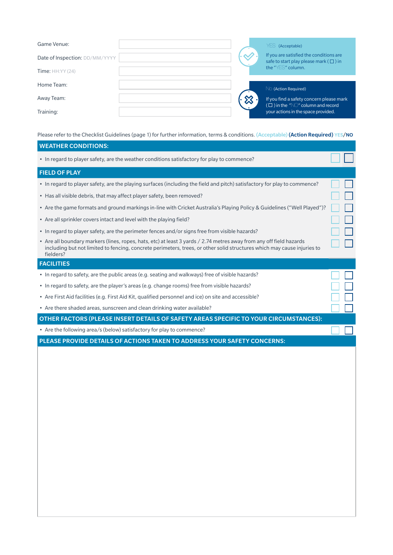| Game Venue:                    |  | YES (Acceptable)                                                                           |
|--------------------------------|--|--------------------------------------------------------------------------------------------|
| Date of Inspection: DD/MM/YYYY |  | If you are satisfied the conditions are<br>safe to start play please mark ( $\square$ ) in |
| Time: $HH:YY(24)$              |  | the "YES" column.                                                                          |
| Home Team:                     |  |                                                                                            |
|                                |  | No (Action Required)                                                                       |
| Away Team:                     |  | If you find a safety concern please mark                                                   |
| Training:                      |  | $(\Box)$ in the "NO" column and record<br>your actions in the space provided.              |

Please refer to the Checklist Guidelines (page 1) for further information, terms & conditions. (Acceptable) (Action Required) YES/NO

# WEATHER CONDITIONS:

• In regard to player safety, are the weather conditions satisfactory for play to commence?

# FIELD OF PLAY

- In regard to player safety, are the playing surfaces (including the field and pitch) satisfactory for play to commence?
- Has all visible debris, that may affect player safety, been removed?
- Are the game formats and ground markings in-line with Cricket Australia's Playing Policy & Guidelines ("Well Played")?
- Are all sprinkler covers intact and level with the playing field?
- In regard to player safety, are the perimeter fences and/or signs free from visible hazards?
- Are all boundary markers (lines, ropes, hats, etc) at least 3 yards / 2.74 metres away from any off field hazards including but not limited to fencing, concrete perimeters, trees, or other solid structures which may cause injuries to fielders?

#### **FACILITIES**

- In regard to safety, are the public areas (e.g. seating and walkways) free of visible hazards?
- In regard to safety, are the player's areas (e.g. change rooms) free from visible hazards?
- Are First Aid facilities (e.g. First Aid Kit, qualified personnel and ice) on site and accessible?
- Are there shaded areas, sunscreen and clean drinking water available?

OTHER FACTORS (PLEASE INSERT DETAILS OF SAFETY AREAS SPECIFIC TO YOUR CIRCUMSTANCES):

• Are the following area/s (below) satisfactory for play to commence?

PLEASE PROVIDE DETAILS OF ACTIONS TAKEN TO ADDRESS YOUR SAFETY CONCERNS: